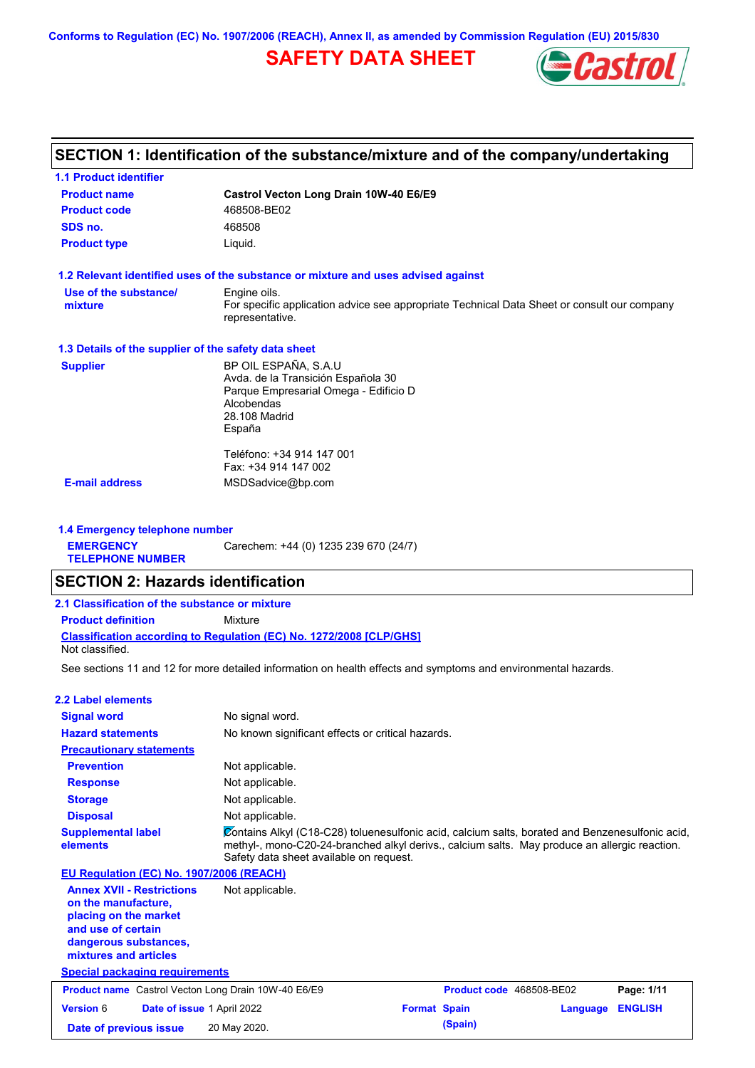**Conforms to Regulation (EC) No. 1907/2006 (REACH), Annex II, as amended by Commission Regulation (EU) 2015/830**

# **SAFETY DATA SHEET**



# **SECTION 1: Identification of the substance/mixture and of the company/undertaking**

| <b>1.1 Product identifier</b>                        |                                                                                                                |
|------------------------------------------------------|----------------------------------------------------------------------------------------------------------------|
| <b>Product name</b>                                  | Castrol Vecton Long Drain 10W-40 E6/E9                                                                         |
| <b>Product code</b>                                  | 468508-BE02                                                                                                    |
| SDS no.                                              | 468508                                                                                                         |
| <b>Product type</b>                                  | Liquid.                                                                                                        |
|                                                      | 1.2 Relevant identified uses of the substance or mixture and uses advised against                              |
| Use of the substance/                                | Engine oils.                                                                                                   |
| mixture                                              | For specific application advice see appropriate Technical Data Sheet or consult our company<br>representative. |
| 1.3 Details of the supplier of the safety data sheet |                                                                                                                |
| <b>Supplier</b>                                      | BP OIL ESPAÑA, S.A.U                                                                                           |
|                                                      | Avda. de la Transición Española 30                                                                             |
|                                                      | Parque Empresarial Omega - Edificio D<br>Alcobendas                                                            |
|                                                      | 28.108 Madrid                                                                                                  |
|                                                      | España                                                                                                         |
|                                                      | Teléfono: +34 914 147 001                                                                                      |
|                                                      | Fax: +34 914 147 002                                                                                           |
| <b>E-mail address</b>                                | MSDSadvice@bp.com                                                                                              |

**1.4 Emergency telephone number EMERGENCY TELEPHONE NUMBER** Carechem: +44 (0) 1235 239 670 (24/7)

## **SECTION 2: Hazards identification**

| 2.1 Classification of the substance or mixture |                                                                            |  |
|------------------------------------------------|----------------------------------------------------------------------------|--|
| <b>Product definition</b>                      | Mixture                                                                    |  |
| Not classified.                                | <b>Classification according to Regulation (EC) No. 1272/2008 [CLP/GHS]</b> |  |

See sections 11 and 12 for more detailed information on health effects and symptoms and environmental hazards.

| 2.2 Label elements                                                                                                                                       |                                                                                                                                                                                                                                             |          |                |
|----------------------------------------------------------------------------------------------------------------------------------------------------------|---------------------------------------------------------------------------------------------------------------------------------------------------------------------------------------------------------------------------------------------|----------|----------------|
| <b>Signal word</b>                                                                                                                                       | No signal word.                                                                                                                                                                                                                             |          |                |
| <b>Hazard statements</b>                                                                                                                                 | No known significant effects or critical hazards.                                                                                                                                                                                           |          |                |
| <b>Precautionary statements</b>                                                                                                                          |                                                                                                                                                                                                                                             |          |                |
| <b>Prevention</b>                                                                                                                                        | Not applicable.                                                                                                                                                                                                                             |          |                |
| <b>Response</b>                                                                                                                                          | Not applicable.                                                                                                                                                                                                                             |          |                |
| <b>Storage</b>                                                                                                                                           | Not applicable.                                                                                                                                                                                                                             |          |                |
| <b>Disposal</b>                                                                                                                                          | Not applicable.                                                                                                                                                                                                                             |          |                |
| <b>Supplemental label</b><br>elements                                                                                                                    | Contains Alkyl (C18-C28) toluenesulfonic acid, calcium salts, borated and Benzenesulfonic acid,<br>methyl-, mono-C20-24-branched alkyl derivs., calcium salts. May produce an allergic reaction.<br>Safety data sheet available on request. |          |                |
| EU Regulation (EC) No. 1907/2006 (REACH)                                                                                                                 |                                                                                                                                                                                                                                             |          |                |
| <b>Annex XVII - Restrictions</b><br>on the manufacture,<br>placing on the market<br>and use of certain<br>dangerous substances,<br>mixtures and articles | Not applicable.                                                                                                                                                                                                                             |          |                |
| <b>Special packaging requirements</b>                                                                                                                    |                                                                                                                                                                                                                                             |          |                |
| <b>Product name</b> Castrol Vecton Long Drain 10W-40 E6/E9                                                                                               | Product code 468508-BE02                                                                                                                                                                                                                    |          | Page: 1/11     |
| <b>Version 6</b><br>Date of issue 1 April 2022                                                                                                           | <b>Format Spain</b>                                                                                                                                                                                                                         | Language | <b>ENGLISH</b> |
| Date of previous issue                                                                                                                                   | (Spain)<br>20 May 2020.                                                                                                                                                                                                                     |          |                |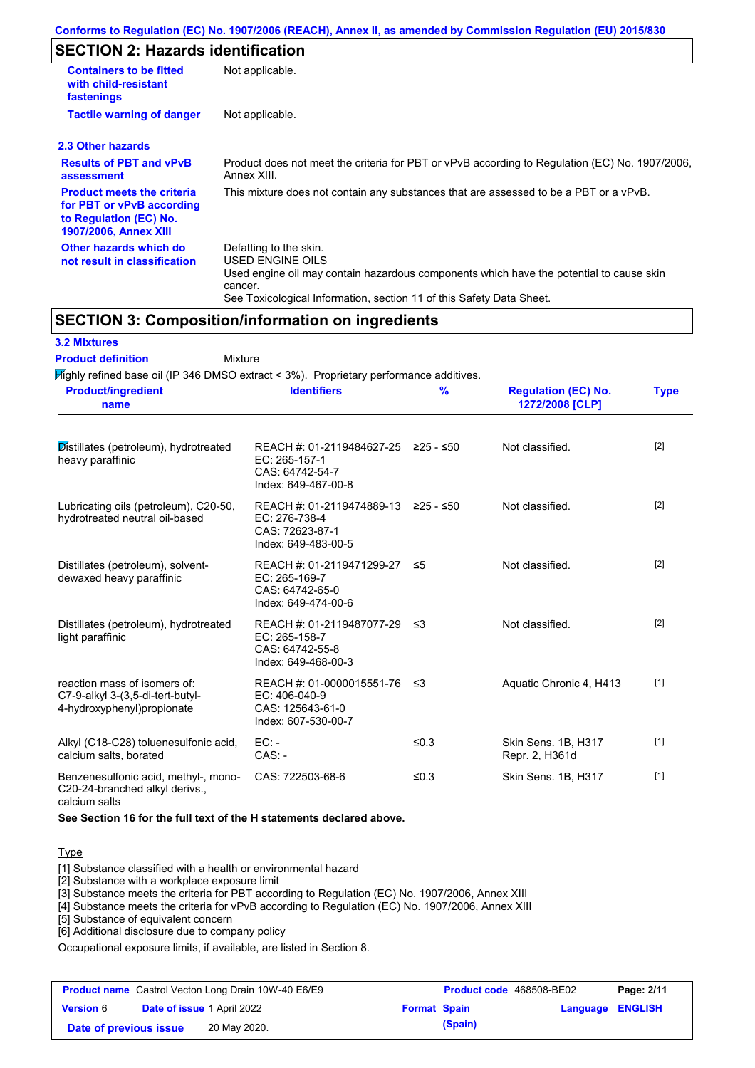# **SECTION 2: Hazards identification**

| <b>Containers to be fitted</b><br>with child-resistant<br>fastenings                                                     | Not applicable.                                                                                                                                                                                                          |
|--------------------------------------------------------------------------------------------------------------------------|--------------------------------------------------------------------------------------------------------------------------------------------------------------------------------------------------------------------------|
| <b>Tactile warning of danger</b>                                                                                         | Not applicable.                                                                                                                                                                                                          |
| 2.3 Other hazards                                                                                                        |                                                                                                                                                                                                                          |
| <b>Results of PBT and vPvB</b><br>assessment                                                                             | Product does not meet the criteria for PBT or vPvB according to Regulation (EC) No. 1907/2006,<br>Annex XIII.                                                                                                            |
| <b>Product meets the criteria</b><br>for PBT or vPvB according<br>to Regulation (EC) No.<br><b>1907/2006, Annex XIII</b> | This mixture does not contain any substances that are assessed to be a PBT or a vPvB.                                                                                                                                    |
| Other hazards which do<br>not result in classification                                                                   | Defatting to the skin.<br>USED ENGINE OILS<br>Used engine oil may contain hazardous components which have the potential to cause skin<br>cancer.<br>See Toxicological Information, section 11 of this Safety Data Sheet. |

## **SECTION 3: Composition/information on ingredients**

### **3.2 Mixtures**

Mixture **Product definition**

| $H$ in the proportion of the S46 DMSO extract $<$ 3%). Proprietary performance additives.       |                                                                                                |           |                                               |             |
|-------------------------------------------------------------------------------------------------|------------------------------------------------------------------------------------------------|-----------|-----------------------------------------------|-------------|
| <b>Product/ingredient</b><br>name                                                               | <b>Identifiers</b>                                                                             | %         | <b>Regulation (EC) No.</b><br>1272/2008 [CLP] | <b>Type</b> |
| Distillates (petroleum), hydrotreated<br>heavy paraffinic                                       | REACH #: 01-2119484627-25 ≥25 - ≤50<br>EC: 265-157-1<br>CAS: 64742-54-7<br>Index: 649-467-00-8 |           | Not classified.                               | $[2]$       |
| Lubricating oils (petroleum), C20-50,<br>hydrotreated neutral oil-based                         | REACH #: 01-2119474889-13<br>EC: 276-738-4<br>CAS: 72623-87-1<br>Index: 649-483-00-5           | ≥25 - ≤50 | Not classified.                               | $[2]$       |
| Distillates (petroleum), solvent-<br>dewaxed heavy paraffinic                                   | REACH #: 01-2119471299-27<br>EC: 265-169-7<br>CAS: 64742-65-0<br>Index: 649-474-00-6           | ≤5        | Not classified.                               | $[2]$       |
| Distillates (petroleum), hydrotreated<br>light paraffinic                                       | REACH #: 01-2119487077-29 ≤3<br>EC: 265-158-7<br>CAS: 64742-55-8<br>Index: 649-468-00-3        |           | Not classified.                               | $[2]$       |
| reaction mass of isomers of:<br>C7-9-alkyl 3-(3,5-di-tert-butyl-<br>4-hydroxyphenyl) propionate | REACH #: 01-0000015551-76<br>EC: 406-040-9<br>CAS: 125643-61-0<br>Index: 607-530-00-7          | ב≥        | Aquatic Chronic 4, H413                       | $[1]$       |
| Alkyl (C18-C28) toluenesulfonic acid,<br>calcium salts, borated                                 | $EC:$ -<br>$CAS. -$                                                                            | ≤0.3      | Skin Sens. 1B, H317<br>Repr. 2, H361d         | $[1]$       |
| Benzenesulfonic acid, methyl-, mono-<br>C20-24-branched alkyl derivs.,                          | CAS: 722503-68-6                                                                               | ≤ $0.3$   | Skin Sens. 1B, H317                           | $[1]$       |

calcium salts

**See Section 16 for the full text of the H statements declared above.**

### **Type**

[1] Substance classified with a health or environmental hazard

[2] Substance with a workplace exposure limit

[3] Substance meets the criteria for PBT according to Regulation (EC) No. 1907/2006, Annex XIII

[4] Substance meets the criteria for vPvB according to Regulation (EC) No. 1907/2006, Annex XIII

[5] Substance of equivalent concern

[6] Additional disclosure due to company policy

Occupational exposure limits, if available, are listed in Section 8.

|                        | <b>Product name</b> Castrol Vecton Long Drain 10W-40 E6/E9 |                     | <b>Product code</b> 468508-BE02 |                  | Page: 2/11 |
|------------------------|------------------------------------------------------------|---------------------|---------------------------------|------------------|------------|
| <b>Version 6</b>       | <b>Date of issue 1 April 2022</b>                          | <b>Format Spain</b> |                                 | Language ENGLISH |            |
| Date of previous issue | 20 May 2020.                                               |                     | (Spain)                         |                  |            |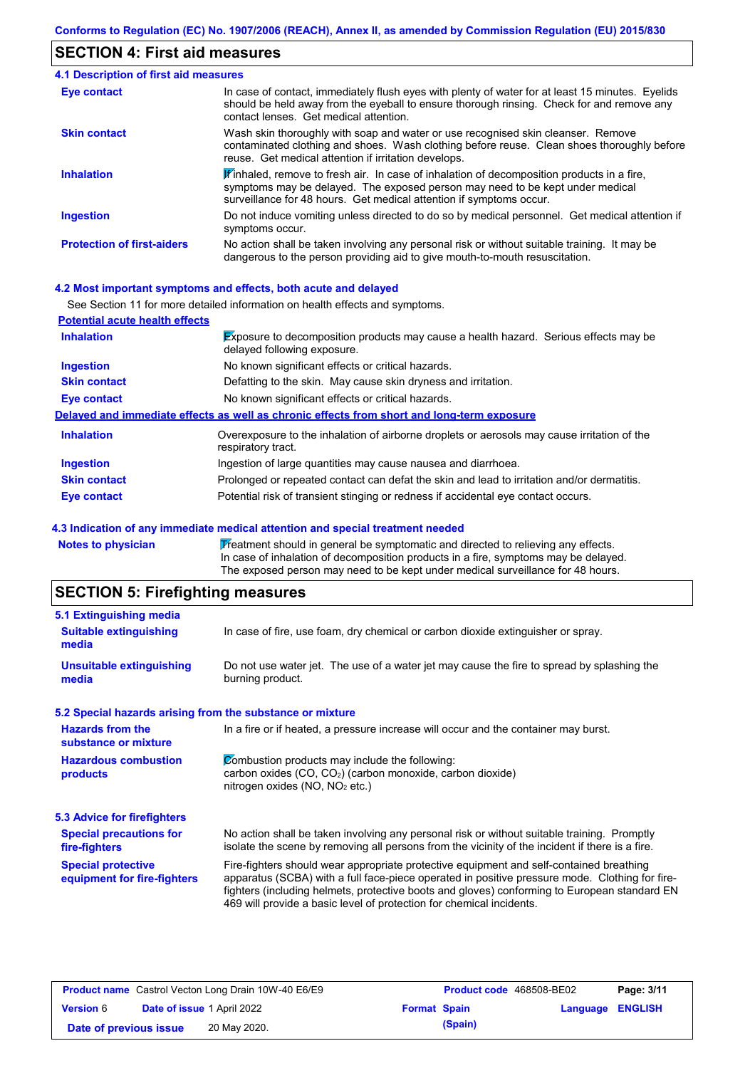## **SECTION 4: First aid measures**

| <b>4.1 Description of first aid measures</b> |                                                                                                                                                                                                                                                               |
|----------------------------------------------|---------------------------------------------------------------------------------------------------------------------------------------------------------------------------------------------------------------------------------------------------------------|
| Eye contact                                  | In case of contact, immediately flush eyes with plenty of water for at least 15 minutes. Eyelids<br>should be held away from the eyeball to ensure thorough rinsing. Check for and remove any<br>contact lenses. Get medical attention.                       |
| <b>Skin contact</b>                          | Wash skin thoroughly with soap and water or use recognised skin cleanser. Remove<br>contaminated clothing and shoes. Wash clothing before reuse. Clean shoes thoroughly before<br>reuse. Get medical attention if irritation develops.                        |
| <b>Inhalation</b>                            | $\mathbf{F}$ inhaled, remove to fresh air. In case of inhalation of decomposition products in a fire,<br>symptoms may be delayed. The exposed person may need to be kept under medical<br>surveillance for 48 hours. Get medical attention if symptoms occur. |
| <b>Ingestion</b>                             | Do not induce vomiting unless directed to do so by medical personnel. Get medical attention if<br>symptoms occur.                                                                                                                                             |
| <b>Protection of first-aiders</b>            | No action shall be taken involving any personal risk or without suitable training. It may be<br>dangerous to the person providing aid to give mouth-to-mouth resuscitation.                                                                                   |

### **4.2 Most important symptoms and effects, both acute and delayed**

|                                       | See Section 11 for more detailed information on health effects and symptoms.                                               |
|---------------------------------------|----------------------------------------------------------------------------------------------------------------------------|
| <b>Potential acute health effects</b> |                                                                                                                            |
| <b>Inhalation</b>                     | <b>Exposure to decomposition products may cause a health hazard.</b> Serious effects may be<br>delayed following exposure. |
| <b>Ingestion</b>                      | No known significant effects or critical hazards.                                                                          |
| <b>Skin contact</b>                   | Defatting to the skin. May cause skin dryness and irritation.                                                              |
| Eye contact                           | No known significant effects or critical hazards.                                                                          |
|                                       | Delayed and immediate effects as well as chronic effects from short and long-term exposure                                 |
| <b>Inhalation</b>                     | Overexposure to the inhalation of airborne droplets or aerosols may cause irritation of the<br>respiratory tract.          |
| <b>Ingestion</b>                      | Ingestion of large quantities may cause nausea and diarrhoea.                                                              |
| <b>Skin contact</b>                   | Prolonged or repeated contact can defat the skin and lead to irritation and/or dermatitis.                                 |
| Eye contact                           | Potential risk of transient stinging or redness if accidental eye contact occurs.                                          |

## **4.3 Indication of any immediate medical attention and special treatment needed**

| <b>Notes to physician</b> | Treatment should in general be symptomatic and directed to relieving any effects.   |
|---------------------------|-------------------------------------------------------------------------------------|
|                           | In case of inhalation of decomposition products in a fire, symptoms may be delayed. |
|                           | The exposed person may need to be kept under medical surveillance for 48 hours.     |

# **SECTION 5: Firefighting measures**

| <b>Suitable extinguishing</b><br>In case of fire, use foam, dry chemical or carbon dioxide extinguisher or spray.<br>media<br><b>Unsuitable extinguishing</b><br>Do not use water jet. The use of a water jet may cause the fire to spread by splashing the<br>burning product.<br>media<br>5.2 Special hazards arising from the substance or mixture<br><b>Hazards from the</b><br>In a fire or if heated, a pressure increase will occur and the container may burst.<br>substance or mixture<br>Combustion products may include the following:<br><b>Hazardous combustion</b><br>carbon oxides $(CO, CO2)$ (carbon monoxide, carbon dioxide)<br>products<br>nitrogen oxides ( $NO$ , $NO2$ etc.)<br><b>Special precautions for</b><br>No action shall be taken involving any personal risk or without suitable training. Promptly<br>isolate the scene by removing all persons from the vicinity of the incident if there is a fire.<br>fire-fighters<br><b>Special protective</b><br>Fire-fighters should wear appropriate protective equipment and self-contained breathing<br>apparatus (SCBA) with a full face-piece operated in positive pressure mode. Clothing for fire-<br>equipment for fire-fighters<br>fighters (including helmets, protective boots and gloves) conforming to European standard EN<br>469 will provide a basic level of protection for chemical incidents. |                                    |  |
|-------------------------------------------------------------------------------------------------------------------------------------------------------------------------------------------------------------------------------------------------------------------------------------------------------------------------------------------------------------------------------------------------------------------------------------------------------------------------------------------------------------------------------------------------------------------------------------------------------------------------------------------------------------------------------------------------------------------------------------------------------------------------------------------------------------------------------------------------------------------------------------------------------------------------------------------------------------------------------------------------------------------------------------------------------------------------------------------------------------------------------------------------------------------------------------------------------------------------------------------------------------------------------------------------------------------------------------------------------------------------------------------|------------------------------------|--|
|                                                                                                                                                                                                                                                                                                                                                                                                                                                                                                                                                                                                                                                                                                                                                                                                                                                                                                                                                                                                                                                                                                                                                                                                                                                                                                                                                                                           | 5.1 Extinguishing media            |  |
|                                                                                                                                                                                                                                                                                                                                                                                                                                                                                                                                                                                                                                                                                                                                                                                                                                                                                                                                                                                                                                                                                                                                                                                                                                                                                                                                                                                           |                                    |  |
|                                                                                                                                                                                                                                                                                                                                                                                                                                                                                                                                                                                                                                                                                                                                                                                                                                                                                                                                                                                                                                                                                                                                                                                                                                                                                                                                                                                           |                                    |  |
|                                                                                                                                                                                                                                                                                                                                                                                                                                                                                                                                                                                                                                                                                                                                                                                                                                                                                                                                                                                                                                                                                                                                                                                                                                                                                                                                                                                           |                                    |  |
|                                                                                                                                                                                                                                                                                                                                                                                                                                                                                                                                                                                                                                                                                                                                                                                                                                                                                                                                                                                                                                                                                                                                                                                                                                                                                                                                                                                           |                                    |  |
|                                                                                                                                                                                                                                                                                                                                                                                                                                                                                                                                                                                                                                                                                                                                                                                                                                                                                                                                                                                                                                                                                                                                                                                                                                                                                                                                                                                           |                                    |  |
|                                                                                                                                                                                                                                                                                                                                                                                                                                                                                                                                                                                                                                                                                                                                                                                                                                                                                                                                                                                                                                                                                                                                                                                                                                                                                                                                                                                           | <b>5.3 Advice for firefighters</b> |  |
|                                                                                                                                                                                                                                                                                                                                                                                                                                                                                                                                                                                                                                                                                                                                                                                                                                                                                                                                                                                                                                                                                                                                                                                                                                                                                                                                                                                           |                                    |  |
|                                                                                                                                                                                                                                                                                                                                                                                                                                                                                                                                                                                                                                                                                                                                                                                                                                                                                                                                                                                                                                                                                                                                                                                                                                                                                                                                                                                           |                                    |  |

|                        | <b>Product name</b> Castrol Vecton Long Drain 10W-40 E6/E9 |                     | <b>Product code</b> 468508-BE02 |                  | Page: 3/11 |
|------------------------|------------------------------------------------------------|---------------------|---------------------------------|------------------|------------|
| <b>Version</b> 6       | <b>Date of issue 1 April 2022</b>                          | <b>Format Spain</b> |                                 | Language ENGLISH |            |
| Date of previous issue | 20 May 2020.                                               |                     | (Spain)                         |                  |            |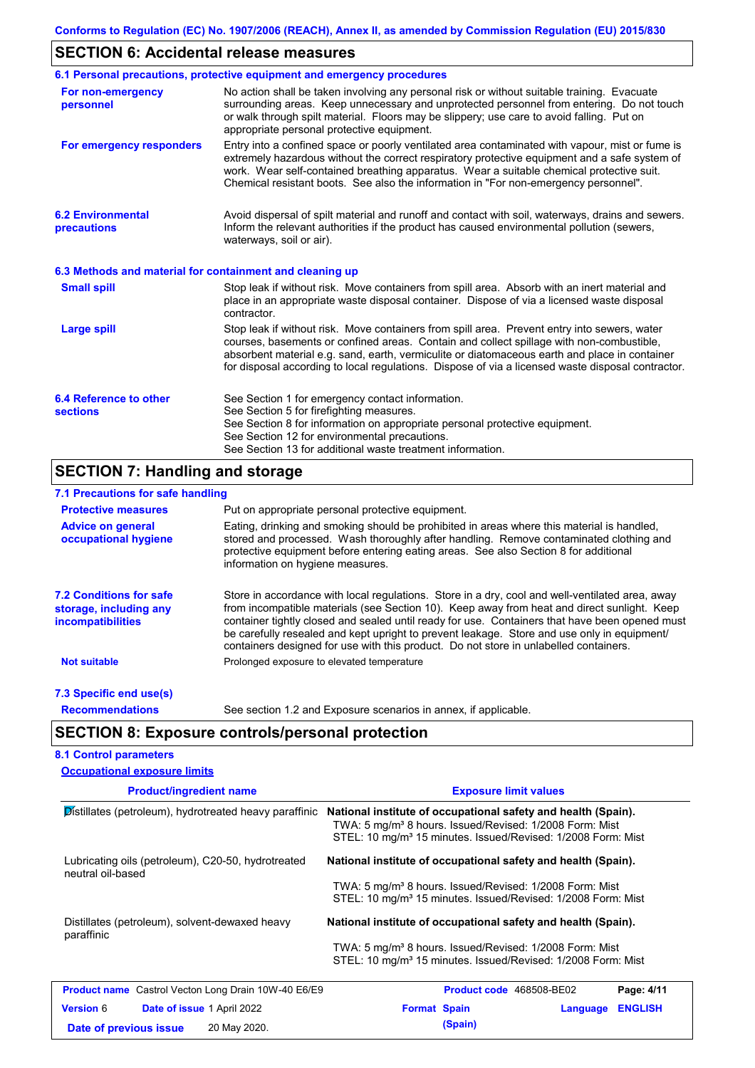# **SECTION 6: Accidental release measures**

|                                                          | 6.1 Personal precautions, protective equipment and emergency procedures                                                                                                                                                                                                                                                                                                                        |
|----------------------------------------------------------|------------------------------------------------------------------------------------------------------------------------------------------------------------------------------------------------------------------------------------------------------------------------------------------------------------------------------------------------------------------------------------------------|
| For non-emergency<br>personnel                           | No action shall be taken involving any personal risk or without suitable training. Evacuate<br>surrounding areas. Keep unnecessary and unprotected personnel from entering. Do not touch<br>or walk through spilt material. Floors may be slippery; use care to avoid falling. Put on<br>appropriate personal protective equipment.                                                            |
| For emergency responders                                 | Entry into a confined space or poorly ventilated area contaminated with vapour, mist or fume is<br>extremely hazardous without the correct respiratory protective equipment and a safe system of<br>work. Wear self-contained breathing apparatus. Wear a suitable chemical protective suit.<br>Chemical resistant boots. See also the information in "For non-emergency personnel".           |
| <b>6.2 Environmental</b><br>precautions                  | Avoid dispersal of spilt material and runoff and contact with soil, waterways, drains and sewers.<br>Inform the relevant authorities if the product has caused environmental pollution (sewers,<br>waterways, soil or air).                                                                                                                                                                    |
| 6.3 Methods and material for containment and cleaning up |                                                                                                                                                                                                                                                                                                                                                                                                |
| <b>Small spill</b>                                       | Stop leak if without risk. Move containers from spill area. Absorb with an inert material and<br>place in an appropriate waste disposal container. Dispose of via a licensed waste disposal<br>contractor.                                                                                                                                                                                     |
| <b>Large spill</b>                                       | Stop leak if without risk. Move containers from spill area. Prevent entry into sewers, water<br>courses, basements or confined areas. Contain and collect spillage with non-combustible,<br>absorbent material e.g. sand, earth, vermiculite or diatomaceous earth and place in container<br>for disposal according to local regulations. Dispose of via a licensed waste disposal contractor. |
| 6.4 Reference to other                                   | See Section 1 for emergency contact information.                                                                                                                                                                                                                                                                                                                                               |
| <b>sections</b>                                          | See Section 5 for firefighting measures.                                                                                                                                                                                                                                                                                                                                                       |
|                                                          | See Section 8 for information on appropriate personal protective equipment.<br>See Section 12 for environmental precautions.                                                                                                                                                                                                                                                                   |
|                                                          | See Section 13 for additional waste treatment information.                                                                                                                                                                                                                                                                                                                                     |

### **SECTION 7: Handling and storage 7.1 Precautions for safe handling**

| <b>1.1 Freddynis for said handling</b> |               |  |  |  |  |
|----------------------------------------|---------------|--|--|--|--|
| <b>Protective measures</b>             | Put on approp |  |  |  |  |

| <b>Protective measures</b>                                                    | Put on appropriate personal protective equipment.                                                                                                                                                                                                                                                                                                                                                                                                                                        |
|-------------------------------------------------------------------------------|------------------------------------------------------------------------------------------------------------------------------------------------------------------------------------------------------------------------------------------------------------------------------------------------------------------------------------------------------------------------------------------------------------------------------------------------------------------------------------------|
| <b>Advice on general</b><br>occupational hygiene                              | Eating, drinking and smoking should be prohibited in areas where this material is handled,<br>stored and processed. Wash thoroughly after handling. Remove contaminated clothing and<br>protective equipment before entering eating areas. See also Section 8 for additional<br>information on hygiene measures.                                                                                                                                                                         |
| <b>7.2 Conditions for safe</b><br>storage, including any<br>incompatibilities | Store in accordance with local requlations. Store in a dry, cool and well-ventilated area, away<br>from incompatible materials (see Section 10). Keep away from heat and direct sunlight. Keep<br>container tightly closed and sealed until ready for use. Containers that have been opened must<br>be carefully resealed and kept upright to prevent leakage. Store and use only in equipment/<br>containers designed for use with this product. Do not store in unlabelled containers. |
| Not suitable                                                                  | Prolonged exposure to elevated temperature                                                                                                                                                                                                                                                                                                                                                                                                                                               |
| 7.3 Specific end use(s)                                                       |                                                                                                                                                                                                                                                                                                                                                                                                                                                                                          |

**Recommendations**

See section 1.2 and Exposure scenarios in annex, if applicable.

# **SECTION 8: Exposure controls/personal protection**

### **8.1 Control parameters Occupational exposure limits**

| <b>Product/ingredient name</b>                                          | <b>Exposure limit values</b>                                                                                                                                                                                     |
|-------------------------------------------------------------------------|------------------------------------------------------------------------------------------------------------------------------------------------------------------------------------------------------------------|
| Distillates (petroleum), hydrotreated heavy paraffinic                  | National institute of occupational safety and health (Spain).<br>TWA: 5 mg/m <sup>3</sup> 8 hours. Issued/Revised: 1/2008 Form: Mist<br>STEL: 10 mg/m <sup>3</sup> 15 minutes. Issued/Revised: 1/2008 Form: Mist |
| Lubricating oils (petroleum), C20-50, hydrotreated<br>neutral oil-based | National institute of occupational safety and health (Spain).                                                                                                                                                    |
|                                                                         | TWA: 5 mg/m <sup>3</sup> 8 hours. Issued/Revised: 1/2008 Form: Mist<br>STEL: 10 mg/m <sup>3</sup> 15 minutes. Issued/Revised: 1/2008 Form: Mist                                                                  |
| Distillates (petroleum), solvent-dewaxed heavy<br>paraffinic            | National institute of occupational safety and health (Spain).                                                                                                                                                    |
|                                                                         | TWA: 5 mg/m <sup>3</sup> 8 hours. Issued/Revised: 1/2008 Form: Mist<br>STEL: 10 mg/m <sup>3</sup> 15 minutes. Issued/Revised: 1/2008 Form: Mist                                                                  |
| <b>Product name</b> Castrol Vecton Long Drain 10W-40 E6/E9              | <b>Product code</b> 468508-BE02<br>Page: 4/11                                                                                                                                                                    |
| <b>Version 6</b><br><b>Date of issue 1 April 2022</b>                   | <b>ENGLISH</b><br><b>Format Spain</b><br>Language                                                                                                                                                                |
| 20 May 2020.<br>Date of previous issue                                  | (Spain)                                                                                                                                                                                                          |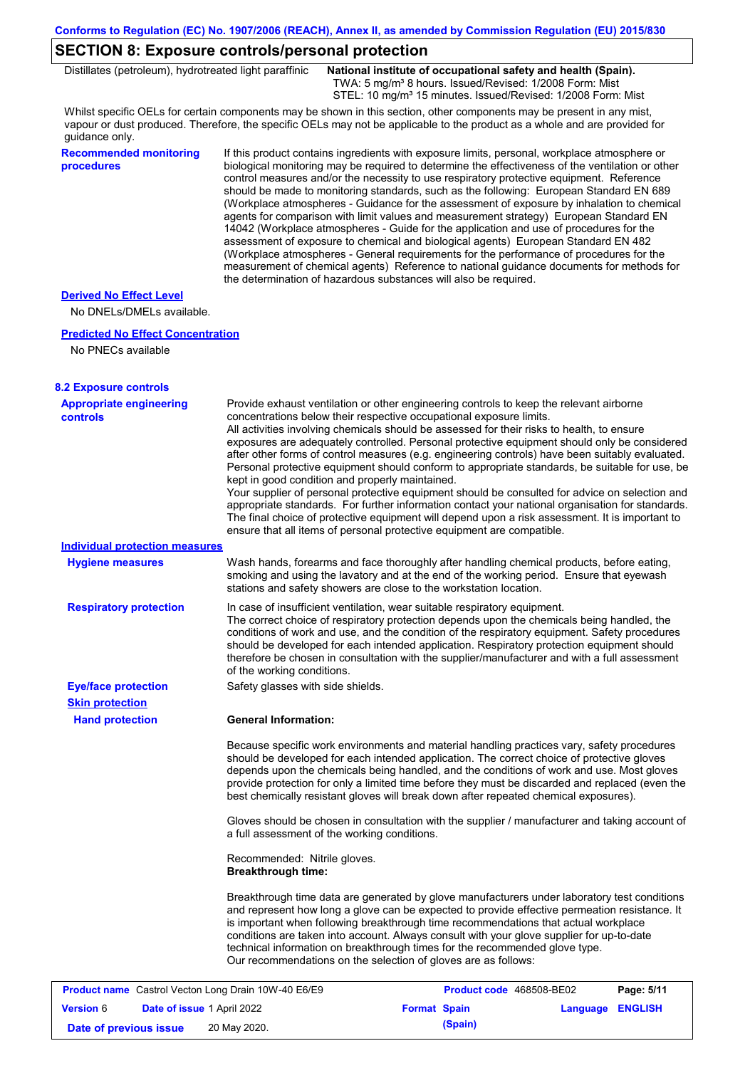## **SECTION 8: Exposure controls/personal protection**

Distillates (petroleum), hydrotreated light paraffinic **National institute of occupational safety and health (Spain).** TWA: 5 mg/m<sup>3</sup> 8 hours. Issued/Revised: 1/2008 Form: Mist STEL: 10 mg/m<sup>3</sup> 15 minutes. Issued/Revised: 1/2008 Form: Mist

Whilst specific OELs for certain components may be shown in this section, other components may be present in any mist, vapour or dust produced. Therefore, the specific OELs may not be applicable to the product as a whole and are provided for guidance only.

### **Recommended monitoring procedures**

If this product contains ingredients with exposure limits, personal, workplace atmosphere or biological monitoring may be required to determine the effectiveness of the ventilation or other control measures and/or the necessity to use respiratory protective equipment. Reference should be made to monitoring standards, such as the following: European Standard EN 689 (Workplace atmospheres - Guidance for the assessment of exposure by inhalation to chemical agents for comparison with limit values and measurement strategy) European Standard EN 14042 (Workplace atmospheres - Guide for the application and use of procedures for the assessment of exposure to chemical and biological agents) European Standard EN 482 (Workplace atmospheres - General requirements for the performance of procedures for the measurement of chemical agents) Reference to national guidance documents for methods for the determination of hazardous substances will also be required.

### **Derived No Effect Level**

No DNELs/DMELs available.

#### **Predicted No Effect Concentration**

No PNECs available

| <b>8.2 Exposure controls</b>                               |                                                                                                                                                                                                                                                                                                                                                                                                                                                                                                                                                                                                                                                                                                                                                                                                                                                                                                                                                                                                         |                          |          |                |
|------------------------------------------------------------|---------------------------------------------------------------------------------------------------------------------------------------------------------------------------------------------------------------------------------------------------------------------------------------------------------------------------------------------------------------------------------------------------------------------------------------------------------------------------------------------------------------------------------------------------------------------------------------------------------------------------------------------------------------------------------------------------------------------------------------------------------------------------------------------------------------------------------------------------------------------------------------------------------------------------------------------------------------------------------------------------------|--------------------------|----------|----------------|
| <b>Appropriate engineering</b><br><b>controls</b>          | Provide exhaust ventilation or other engineering controls to keep the relevant airborne<br>concentrations below their respective occupational exposure limits.<br>All activities involving chemicals should be assessed for their risks to health, to ensure<br>exposures are adequately controlled. Personal protective equipment should only be considered<br>after other forms of control measures (e.g. engineering controls) have been suitably evaluated.<br>Personal protective equipment should conform to appropriate standards, be suitable for use, be<br>kept in good condition and properly maintained.<br>Your supplier of personal protective equipment should be consulted for advice on selection and<br>appropriate standards. For further information contact your national organisation for standards.<br>The final choice of protective equipment will depend upon a risk assessment. It is important to<br>ensure that all items of personal protective equipment are compatible. |                          |          |                |
| Individual protection measures                             |                                                                                                                                                                                                                                                                                                                                                                                                                                                                                                                                                                                                                                                                                                                                                                                                                                                                                                                                                                                                         |                          |          |                |
| <b>Hygiene measures</b>                                    | Wash hands, forearms and face thoroughly after handling chemical products, before eating,<br>smoking and using the lavatory and at the end of the working period. Ensure that eyewash<br>stations and safety showers are close to the workstation location.                                                                                                                                                                                                                                                                                                                                                                                                                                                                                                                                                                                                                                                                                                                                             |                          |          |                |
| <b>Respiratory protection</b>                              | In case of insufficient ventilation, wear suitable respiratory equipment.<br>The correct choice of respiratory protection depends upon the chemicals being handled, the<br>conditions of work and use, and the condition of the respiratory equipment. Safety procedures<br>should be developed for each intended application. Respiratory protection equipment should<br>therefore be chosen in consultation with the supplier/manufacturer and with a full assessment<br>of the working conditions.                                                                                                                                                                                                                                                                                                                                                                                                                                                                                                   |                          |          |                |
| <b>Eye/face protection</b>                                 | Safety glasses with side shields.                                                                                                                                                                                                                                                                                                                                                                                                                                                                                                                                                                                                                                                                                                                                                                                                                                                                                                                                                                       |                          |          |                |
| <b>Skin protection</b>                                     |                                                                                                                                                                                                                                                                                                                                                                                                                                                                                                                                                                                                                                                                                                                                                                                                                                                                                                                                                                                                         |                          |          |                |
| <b>Hand protection</b>                                     | <b>General Information:</b>                                                                                                                                                                                                                                                                                                                                                                                                                                                                                                                                                                                                                                                                                                                                                                                                                                                                                                                                                                             |                          |          |                |
|                                                            | Because specific work environments and material handling practices vary, safety procedures<br>should be developed for each intended application. The correct choice of protective gloves<br>depends upon the chemicals being handled, and the conditions of work and use. Most gloves<br>provide protection for only a limited time before they must be discarded and replaced (even the<br>best chemically resistant gloves will break down after repeated chemical exposures).                                                                                                                                                                                                                                                                                                                                                                                                                                                                                                                        |                          |          |                |
|                                                            | Gloves should be chosen in consultation with the supplier / manufacturer and taking account of<br>a full assessment of the working conditions.                                                                                                                                                                                                                                                                                                                                                                                                                                                                                                                                                                                                                                                                                                                                                                                                                                                          |                          |          |                |
|                                                            | Recommended: Nitrile gloves.<br><b>Breakthrough time:</b>                                                                                                                                                                                                                                                                                                                                                                                                                                                                                                                                                                                                                                                                                                                                                                                                                                                                                                                                               |                          |          |                |
|                                                            | Breakthrough time data are generated by glove manufacturers under laboratory test conditions<br>and represent how long a glove can be expected to provide effective permeation resistance. It<br>is important when following breakthrough time recommendations that actual workplace<br>conditions are taken into account. Always consult with your glove supplier for up-to-date<br>technical information on breakthrough times for the recommended glove type.<br>Our recommendations on the selection of gloves are as follows:                                                                                                                                                                                                                                                                                                                                                                                                                                                                      |                          |          |                |
| <b>Product name</b> Castrol Vecton Long Drain 10W-40 E6/E9 |                                                                                                                                                                                                                                                                                                                                                                                                                                                                                                                                                                                                                                                                                                                                                                                                                                                                                                                                                                                                         | Product code 468508-BE02 |          | Page: 5/11     |
| <b>Version 6</b><br>Date of issue 1 April 2022             |                                                                                                                                                                                                                                                                                                                                                                                                                                                                                                                                                                                                                                                                                                                                                                                                                                                                                                                                                                                                         | <b>Format Spain</b>      | Language | <b>ENGLISH</b> |
| Date of previous issue                                     | 20 May 2020.                                                                                                                                                                                                                                                                                                                                                                                                                                                                                                                                                                                                                                                                                                                                                                                                                                                                                                                                                                                            | (Spain)                  |          |                |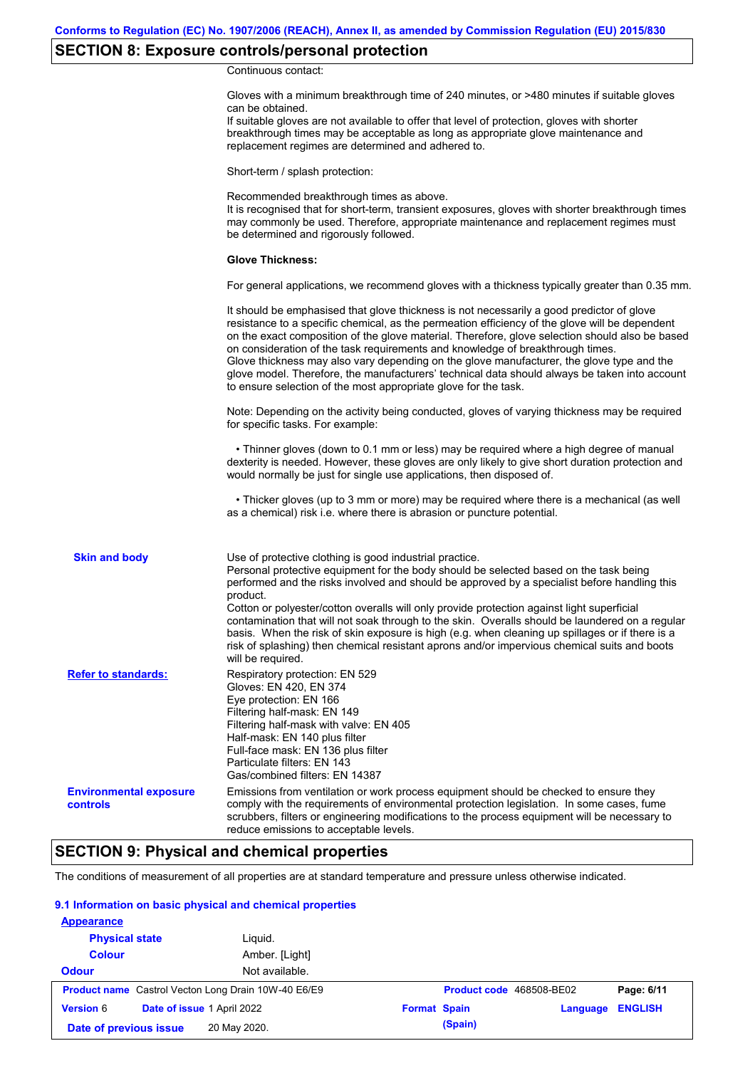# **SECTION 8: Exposure controls/personal protection**

Continuous contact:

|                                           | Gloves with a minimum breakthrough time of 240 minutes, or >480 minutes if suitable gloves<br>can be obtained.<br>If suitable gloves are not available to offer that level of protection, gloves with shorter<br>breakthrough times may be acceptable as long as appropriate glove maintenance and<br>replacement regimes are determined and adhered to.                                                                                                                                                                                                                                                                                                         |
|-------------------------------------------|------------------------------------------------------------------------------------------------------------------------------------------------------------------------------------------------------------------------------------------------------------------------------------------------------------------------------------------------------------------------------------------------------------------------------------------------------------------------------------------------------------------------------------------------------------------------------------------------------------------------------------------------------------------|
|                                           | Short-term / splash protection:                                                                                                                                                                                                                                                                                                                                                                                                                                                                                                                                                                                                                                  |
|                                           | Recommended breakthrough times as above.<br>It is recognised that for short-term, transient exposures, gloves with shorter breakthrough times<br>may commonly be used. Therefore, appropriate maintenance and replacement regimes must<br>be determined and rigorously followed.                                                                                                                                                                                                                                                                                                                                                                                 |
|                                           | <b>Glove Thickness:</b>                                                                                                                                                                                                                                                                                                                                                                                                                                                                                                                                                                                                                                          |
|                                           | For general applications, we recommend gloves with a thickness typically greater than 0.35 mm.                                                                                                                                                                                                                                                                                                                                                                                                                                                                                                                                                                   |
|                                           | It should be emphasised that glove thickness is not necessarily a good predictor of glove<br>resistance to a specific chemical, as the permeation efficiency of the glove will be dependent<br>on the exact composition of the glove material. Therefore, glove selection should also be based<br>on consideration of the task requirements and knowledge of breakthrough times.<br>Glove thickness may also vary depending on the glove manufacturer, the glove type and the<br>glove model. Therefore, the manufacturers' technical data should always be taken into account<br>to ensure selection of the most appropriate glove for the task.                |
|                                           | Note: Depending on the activity being conducted, gloves of varying thickness may be required<br>for specific tasks. For example:                                                                                                                                                                                                                                                                                                                                                                                                                                                                                                                                 |
|                                           | • Thinner gloves (down to 0.1 mm or less) may be required where a high degree of manual<br>dexterity is needed. However, these gloves are only likely to give short duration protection and<br>would normally be just for single use applications, then disposed of.                                                                                                                                                                                                                                                                                                                                                                                             |
|                                           | • Thicker gloves (up to 3 mm or more) may be required where there is a mechanical (as well<br>as a chemical) risk i.e. where there is abrasion or puncture potential.                                                                                                                                                                                                                                                                                                                                                                                                                                                                                            |
| <b>Skin and body</b>                      | Use of protective clothing is good industrial practice.<br>Personal protective equipment for the body should be selected based on the task being<br>performed and the risks involved and should be approved by a specialist before handling this<br>product.<br>Cotton or polyester/cotton overalls will only provide protection against light superficial<br>contamination that will not soak through to the skin. Overalls should be laundered on a regular<br>basis. When the risk of skin exposure is high (e.g. when cleaning up spillages or if there is a<br>risk of splashing) then chemical resistant aprons and/or impervious chemical suits and boots |
| <b>Refer to standards:</b>                | will be required.<br>Respiratory protection: EN 529<br>Gloves: EN 420, EN 374<br>Eye protection: EN 166<br>Filtering half-mask: EN 149<br>Filtering half-mask with valve: EN 405<br>Half-mask: EN 140 plus filter<br>Full-face mask: EN 136 plus filter<br>Particulate filters: EN 143<br>Gas/combined filters: EN 14387                                                                                                                                                                                                                                                                                                                                         |
| <b>Environmental exposure</b><br>controls | Emissions from ventilation or work process equipment should be checked to ensure they<br>comply with the requirements of environmental protection legislation. In some cases, fume<br>scrubbers, filters or engineering modifications to the process equipment will be necessary to<br>reduce emissions to acceptable levels.                                                                                                                                                                                                                                                                                                                                    |

# **SECTION 9: Physical and chemical properties**

The conditions of measurement of all properties are at standard temperature and pressure unless otherwise indicated.

### **9.1 Information on basic physical and chemical properties**

| <b>Appearance</b>      |                                                            |                     |                          |          |                |
|------------------------|------------------------------------------------------------|---------------------|--------------------------|----------|----------------|
| <b>Physical state</b>  | Liguid.                                                    |                     |                          |          |                |
| <b>Colour</b>          | Amber. [Light]                                             |                     |                          |          |                |
| <b>Odour</b>           | Not available.                                             |                     |                          |          |                |
|                        | <b>Product name</b> Castrol Vecton Long Drain 10W-40 E6/E9 |                     | Product code 468508-BE02 |          | Page: 6/11     |
| <b>Version 6</b>       | Date of issue 1 April 2022                                 | <b>Format Spain</b> |                          | Language | <b>ENGLISH</b> |
| Date of previous issue | 20 May 2020.                                               |                     | (Spain)                  |          |                |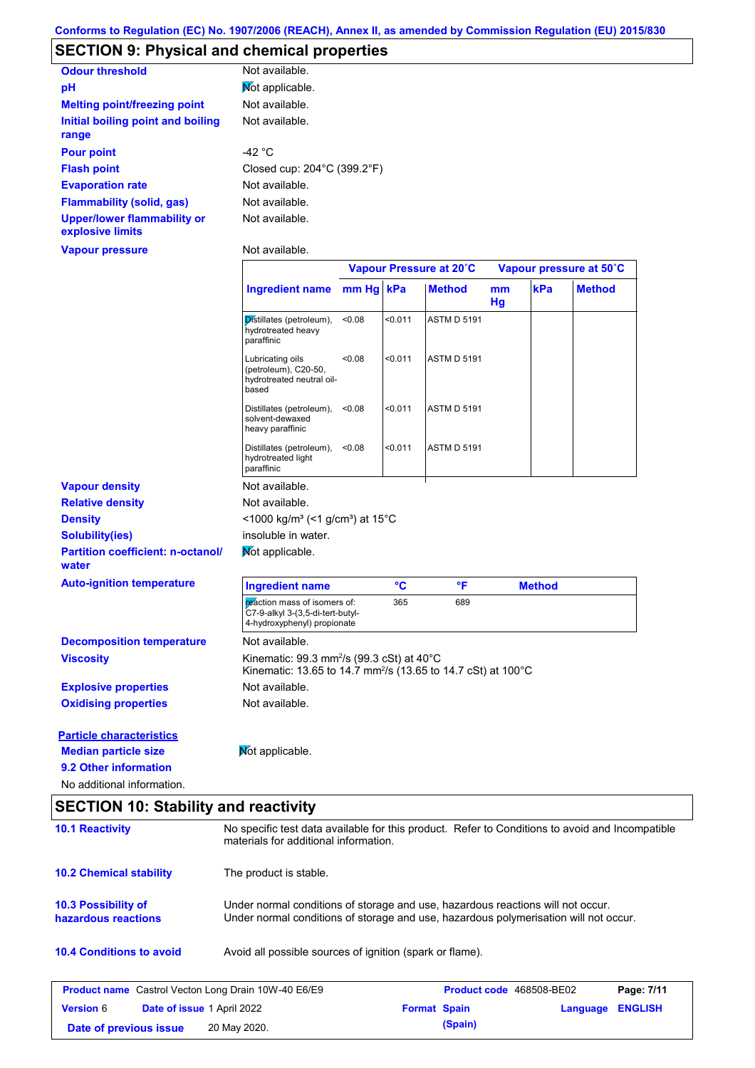# **SECTION 9: Physical and chemical properties**

| <b>Odour threshold</b>                                 | Not available.                                   |
|--------------------------------------------------------|--------------------------------------------------|
| рH                                                     | Mot applicable.                                  |
| <b>Melting point/freezing point</b>                    | Not available.                                   |
| Initial boiling point and boiling                      | Not available.                                   |
| range                                                  |                                                  |
| <b>Pour point</b>                                      | -42 °C                                           |
| <b>Flash point</b>                                     | Closed cup: $204^{\circ}$ C (399.2 $^{\circ}$ F) |
| <b>Evaporation rate</b>                                | Not available.                                   |
| Flammability (solid, gas)                              | Not available.                                   |
| <b>Upper/lower flammability or</b><br>explosive limits | Not available.                                   |
| Vapour pressure                                        | Not available.                                   |

|                                                   |                                                                                                                                   | Vapour Pressure at 20°C |         | Vapour pressure at 50°C |          |               |               |
|---------------------------------------------------|-----------------------------------------------------------------------------------------------------------------------------------|-------------------------|---------|-------------------------|----------|---------------|---------------|
|                                                   | <b>Ingredient name</b>                                                                                                            | $mm Hg$ kPa             |         | <b>Method</b>           | mm<br>Hg | kPa           | <b>Method</b> |
|                                                   | Distillates (petroleum),<br>hydrotreated heavy<br>paraffinic                                                                      | <0.08                   | < 0.011 | <b>ASTM D 5191</b>      |          |               |               |
|                                                   | Lubricating oils<br>(petroleum), C20-50,<br>hydrotreated neutral oil-<br>based                                                    | < 0.08                  | < 0.011 | <b>ASTM D 5191</b>      |          |               |               |
|                                                   | Distillates (petroleum),<br>solvent-dewaxed<br>heavy paraffinic                                                                   | < 0.08                  | < 0.011 | <b>ASTM D 5191</b>      |          |               |               |
|                                                   | Distillates (petroleum),<br>hydrotreated light<br>paraffinic                                                                      | < 0.08                  | < 0.011 | <b>ASTM D 5191</b>      |          |               |               |
| <b>Vapour density</b>                             | Not available.                                                                                                                    |                         |         |                         |          |               |               |
| <b>Relative density</b>                           | Not available.                                                                                                                    |                         |         |                         |          |               |               |
| <b>Density</b>                                    | <1000 kg/m <sup>3</sup> (<1 g/cm <sup>3</sup> ) at 15°C                                                                           |                         |         |                         |          |               |               |
| <b>Solubility(ies)</b>                            | insoluble in water.                                                                                                               |                         |         |                         |          |               |               |
| <b>Partition coefficient: n-octanol/</b><br>water | Mot applicable.                                                                                                                   |                         |         |                         |          |               |               |
| <b>Auto-ignition temperature</b>                  | <b>Ingredient name</b>                                                                                                            |                         | °C      | °F                      |          | <b>Method</b> |               |
|                                                   | reaction mass of isomers of:<br>C7-9-alkyl 3-(3,5-di-tert-butyl-<br>4-hydroxyphenyl) propionate                                   |                         | 365     | 689                     |          |               |               |
| <b>Decomposition temperature</b>                  | Not available.                                                                                                                    |                         |         |                         |          |               |               |
| <b>Viscosity</b>                                  | Kinematic: 99.3 mm <sup>2</sup> /s (99.3 cSt) at 40°C<br>Kinematic: 13.65 to 14.7 mm <sup>2</sup> /s (13.65 to 14.7 cSt) at 100°C |                         |         |                         |          |               |               |
| <b>Explosive properties</b>                       | Not available.                                                                                                                    |                         |         |                         |          |               |               |
| <b>Oxidising properties</b>                       | Not available.                                                                                                                    |                         |         |                         |          |               |               |
| <b>Particle characteristics</b>                   |                                                                                                                                   |                         |         |                         |          |               |               |
| <b>Median particle size</b>                       | Mot applicable.                                                                                                                   |                         |         |                         |          |               |               |
| 9.2 Other information                             |                                                                                                                                   |                         |         |                         |          |               |               |
| No additional information.                        |                                                                                                                                   |                         |         |                         |          |               |               |

# **SECTION 10: Stability and reactivity**

| <b>10.1 Reactivity</b>                                     | No specific test data available for this product. Refer to Conditions to avoid and Incompatible<br>materials for additional information.                                |                                 |          |                |
|------------------------------------------------------------|-------------------------------------------------------------------------------------------------------------------------------------------------------------------------|---------------------------------|----------|----------------|
| <b>10.2 Chemical stability</b>                             | The product is stable.                                                                                                                                                  |                                 |          |                |
| <b>10.3 Possibility of</b><br>hazardous reactions          | Under normal conditions of storage and use, hazardous reactions will not occur.<br>Under normal conditions of storage and use, hazardous polymerisation will not occur. |                                 |          |                |
| <b>10.4 Conditions to avoid</b>                            | Avoid all possible sources of ignition (spark or flame).                                                                                                                |                                 |          |                |
| <b>Product name</b> Castrol Vecton Long Drain 10W-40 E6/E9 |                                                                                                                                                                         | <b>Product code</b> 468508-BE02 |          | Page: 7/11     |
| <b>Version 6</b><br><b>Date of issue 1 April 2022</b>      |                                                                                                                                                                         | <b>Format Spain</b>             | Language | <b>ENGLISH</b> |
| Date of previous issue                                     | 20 May 2020.                                                                                                                                                            | (Spain)                         |          |                |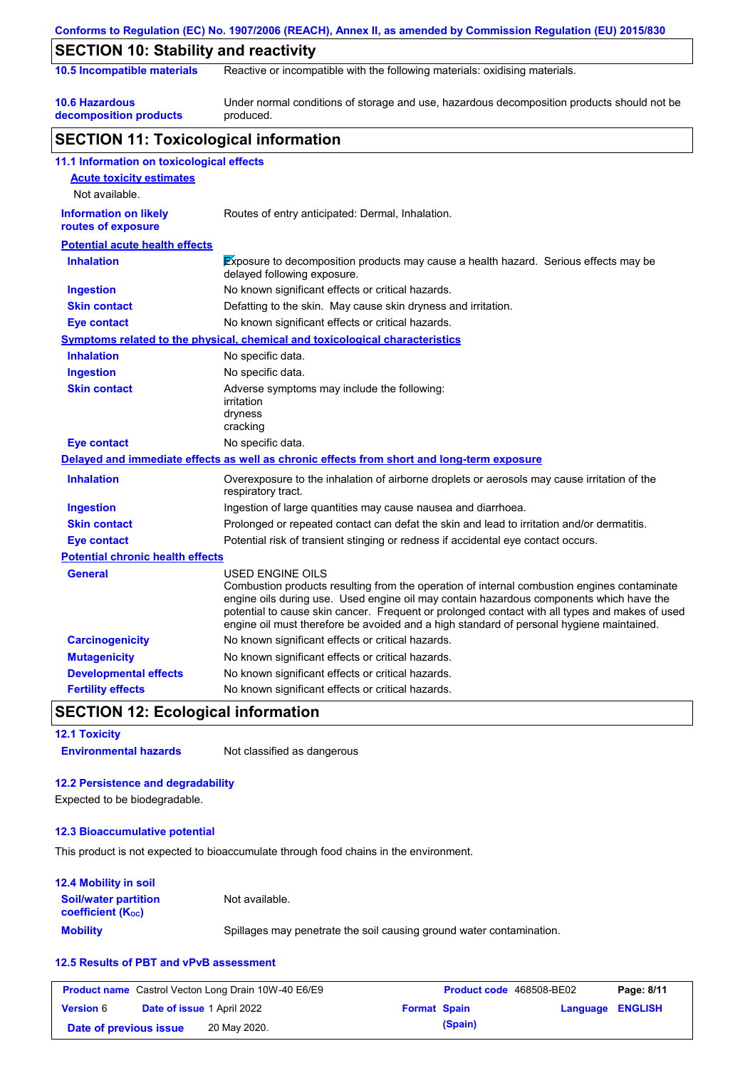|                                                    | Conforms to Regulation (EC) No. 1907/2006 (REACH), Annex II, as amended by Commission Regulation (EU) 2015/830                                                                                                                                                                                                                                                                                                  |
|----------------------------------------------------|-----------------------------------------------------------------------------------------------------------------------------------------------------------------------------------------------------------------------------------------------------------------------------------------------------------------------------------------------------------------------------------------------------------------|
| <b>SECTION 10: Stability and reactivity</b>        |                                                                                                                                                                                                                                                                                                                                                                                                                 |
| 10.5 Incompatible materials                        | Reactive or incompatible with the following materials: oxidising materials.                                                                                                                                                                                                                                                                                                                                     |
| <b>10.6 Hazardous</b><br>decomposition products    | Under normal conditions of storage and use, hazardous decomposition products should not be<br>produced.                                                                                                                                                                                                                                                                                                         |
| <b>SECTION 11: Toxicological information</b>       |                                                                                                                                                                                                                                                                                                                                                                                                                 |
| 11.1 Information on toxicological effects          |                                                                                                                                                                                                                                                                                                                                                                                                                 |
| <b>Acute toxicity estimates</b>                    |                                                                                                                                                                                                                                                                                                                                                                                                                 |
| Not available.                                     |                                                                                                                                                                                                                                                                                                                                                                                                                 |
| <b>Information on likely</b><br>routes of exposure | Routes of entry anticipated: Dermal, Inhalation.                                                                                                                                                                                                                                                                                                                                                                |
| <b>Potential acute health effects</b>              |                                                                                                                                                                                                                                                                                                                                                                                                                 |
| <b>Inhalation</b>                                  | Exposure to decomposition products may cause a health hazard. Serious effects may be<br>delayed following exposure.                                                                                                                                                                                                                                                                                             |
| <b>Ingestion</b>                                   | No known significant effects or critical hazards.                                                                                                                                                                                                                                                                                                                                                               |
| <b>Skin contact</b>                                | Defatting to the skin. May cause skin dryness and irritation.                                                                                                                                                                                                                                                                                                                                                   |
| <b>Eye contact</b>                                 | No known significant effects or critical hazards.                                                                                                                                                                                                                                                                                                                                                               |
|                                                    | Symptoms related to the physical, chemical and toxicological characteristics                                                                                                                                                                                                                                                                                                                                    |
| <b>Inhalation</b>                                  | No specific data.                                                                                                                                                                                                                                                                                                                                                                                               |
| <b>Ingestion</b>                                   | No specific data.                                                                                                                                                                                                                                                                                                                                                                                               |
| <b>Skin contact</b>                                | Adverse symptoms may include the following:<br>irritation<br>dryness<br>cracking                                                                                                                                                                                                                                                                                                                                |
| <b>Eye contact</b>                                 | No specific data.                                                                                                                                                                                                                                                                                                                                                                                               |
|                                                    | Delayed and immediate effects as well as chronic effects from short and long-term exposure                                                                                                                                                                                                                                                                                                                      |
| <b>Inhalation</b>                                  | Overexposure to the inhalation of airborne droplets or aerosols may cause irritation of the<br>respiratory tract.                                                                                                                                                                                                                                                                                               |
| <b>Ingestion</b>                                   | Ingestion of large quantities may cause nausea and diarrhoea.                                                                                                                                                                                                                                                                                                                                                   |
| <b>Skin contact</b>                                | Prolonged or repeated contact can defat the skin and lead to irritation and/or dermatitis.                                                                                                                                                                                                                                                                                                                      |
| <b>Eye contact</b>                                 | Potential risk of transient stinging or redness if accidental eye contact occurs.                                                                                                                                                                                                                                                                                                                               |
| <b>Potential chronic health effects</b>            |                                                                                                                                                                                                                                                                                                                                                                                                                 |
| <b>General</b>                                     | <b>USED ENGINE OILS</b><br>Combustion products resulting from the operation of internal combustion engines contaminate<br>engine oils during use. Used engine oil may contain hazardous components which have the<br>potential to cause skin cancer. Frequent or prolonged contact with all types and makes of used<br>engine oil must therefore be avoided and a high standard of personal hygiene maintained. |
| <b>Carcinogenicity</b>                             | No known significant effects or critical hazards.                                                                                                                                                                                                                                                                                                                                                               |
| <b>Mutagenicity</b>                                | No known significant effects or critical hazards.                                                                                                                                                                                                                                                                                                                                                               |
| <b>Developmental effects</b>                       | No known significant effects or critical hazards.                                                                                                                                                                                                                                                                                                                                                               |
| <b>Fertility effects</b>                           | No known significant effects or critical hazards.                                                                                                                                                                                                                                                                                                                                                               |

## **SECTION 12: Ecological information**

**12.1 Toxicity Environmental hazards** Not classified as dangerous

### **12.2 Persistence and degradability**

Expected to be biodegradable.

### **12.3 Bioaccumulative potential**

This product is not expected to bioaccumulate through food chains in the environment.

### **12.4 Mobility in soil**

| <b>Soil/water partition</b><br><b>coefficient</b> (K <sub>oc</sub> ) | Not available.                                                       |
|----------------------------------------------------------------------|----------------------------------------------------------------------|
| <b>Mobility</b>                                                      | Spillages may penetrate the soil causing ground water contamination. |

### **12.5 Results of PBT and vPvB assessment**

| <b>Product name</b> Castrol Vecton Long Drain 10W-40 E6/E9 |  | <b>Product code</b> 468508-BE02   | Page: 8/11          |         |                         |  |
|------------------------------------------------------------|--|-----------------------------------|---------------------|---------|-------------------------|--|
| <b>Version 6</b>                                           |  | <b>Date of issue 1 April 2022</b> | <b>Format Spain</b> |         | <b>Language ENGLISH</b> |  |
| Date of previous issue                                     |  | 20 May 2020.                      |                     | (Spain) |                         |  |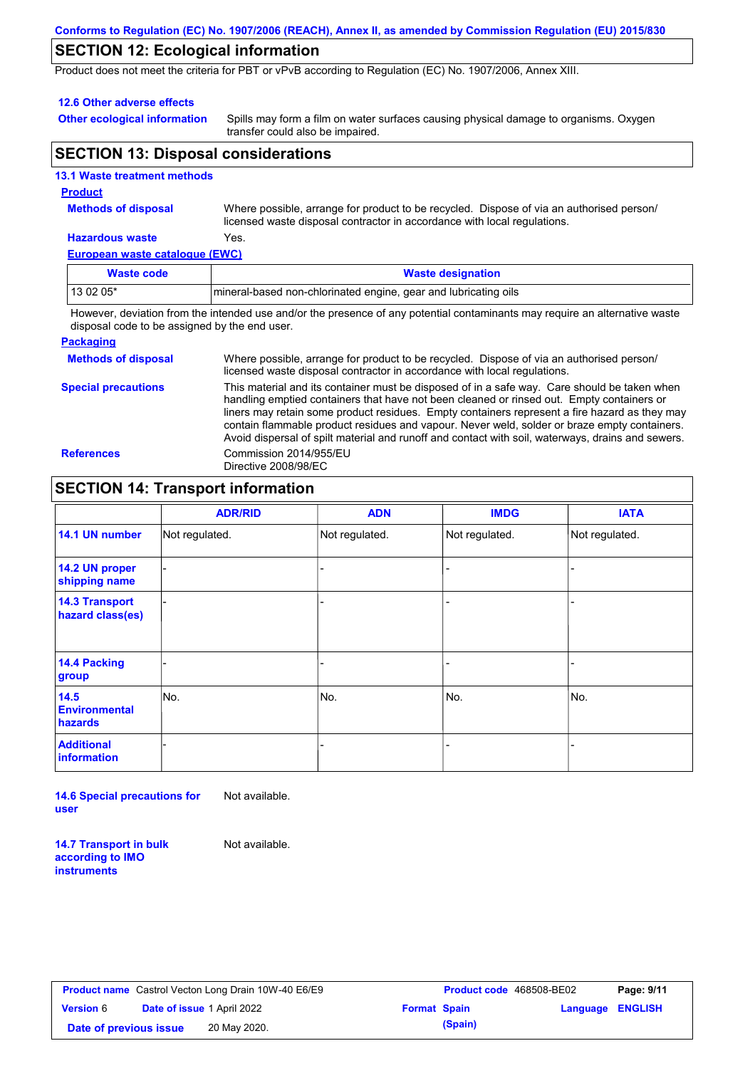### **Conforms to Regulation (EC) No. 1907/2006 (REACH), Annex II, as amended by Commission Regulation (EU) 2015/830**

## **SECTION 12: Ecological information**

Product does not meet the criteria for PBT or vPvB according to Regulation (EC) No. 1907/2006, Annex XIII.

#### **12.6 Other adverse effects**

**Other ecological information**

Spills may form a film on water surfaces causing physical damage to organisms. Oxygen transfer could also be impaired.

## **SECTION 13: Disposal considerations**

|  | <b>13.1 Waste treatment methods</b> |  |
|--|-------------------------------------|--|
|  |                                     |  |

## **Product**

**Methods of disposal**

Where possible, arrange for product to be recycled. Dispose of via an authorised person/ licensed waste disposal contractor in accordance with local regulations.

### **Hazardous waste** Yes.

**European waste catalogue (EWC)**

| Waste code | <b>Waste designation</b>                                        |
|------------|-----------------------------------------------------------------|
| $130205*$  | mineral-based non-chlorinated engine, gear and lubricating oils |
| .          | .                                                               |

However, deviation from the intended use and/or the presence of any potential contaminants may require an alternative waste disposal code to be assigned by the end user.

#### **Packaging**

| <b>Methods of disposal</b> | Where possible, arrange for product to be recycled. Dispose of via an authorised person/<br>licensed waste disposal contractor in accordance with local regulations.                                                                                                                                                                                                                                                                                                                            |
|----------------------------|-------------------------------------------------------------------------------------------------------------------------------------------------------------------------------------------------------------------------------------------------------------------------------------------------------------------------------------------------------------------------------------------------------------------------------------------------------------------------------------------------|
| <b>Special precautions</b> | This material and its container must be disposed of in a safe way. Care should be taken when<br>handling emptied containers that have not been cleaned or rinsed out. Empty containers or<br>liners may retain some product residues. Empty containers represent a fire hazard as they may<br>contain flammable product residues and vapour. Never weld, solder or braze empty containers.<br>Avoid dispersal of spilt material and runoff and contact with soil, waterways, drains and sewers. |
| <b>References</b>          | Commission 2014/955/EU<br>Directive 2008/98/EC                                                                                                                                                                                                                                                                                                                                                                                                                                                  |

# **SECTION 14: Transport information**

|                                           | <b>ADR/RID</b> | <b>ADN</b>     | <b>IMDG</b>    | <b>IATA</b>    |
|-------------------------------------------|----------------|----------------|----------------|----------------|
| 14.1 UN number                            | Not regulated. | Not regulated. | Not regulated. | Not regulated. |
| 14.2 UN proper<br>shipping name           |                |                |                |                |
| <b>14.3 Transport</b><br>hazard class(es) |                |                | ٠              |                |
| 14.4 Packing<br>group                     |                |                |                |                |
| 14.5<br><b>Environmental</b><br>hazards   | No.            | No.            | No.            | No.            |
| <b>Additional</b><br>information          |                |                |                |                |

**14.6 Special precautions for user** Not available.

**14.7 Transport in bulk according to IMO instruments**

Not available.

| <b>Product name</b> Castrol Vecton Long Drain 10W-40 E6/E9 |                                   |              |                     | <b>Product code</b> 468508-BE02 |                  | Page: 9/11 |
|------------------------------------------------------------|-----------------------------------|--------------|---------------------|---------------------------------|------------------|------------|
| <b>Version</b> 6                                           | <b>Date of issue 1 April 2022</b> |              | <b>Format Spain</b> |                                 | Language ENGLISH |            |
| Date of previous issue                                     |                                   | 20 May 2020. |                     | (Spain)                         |                  |            |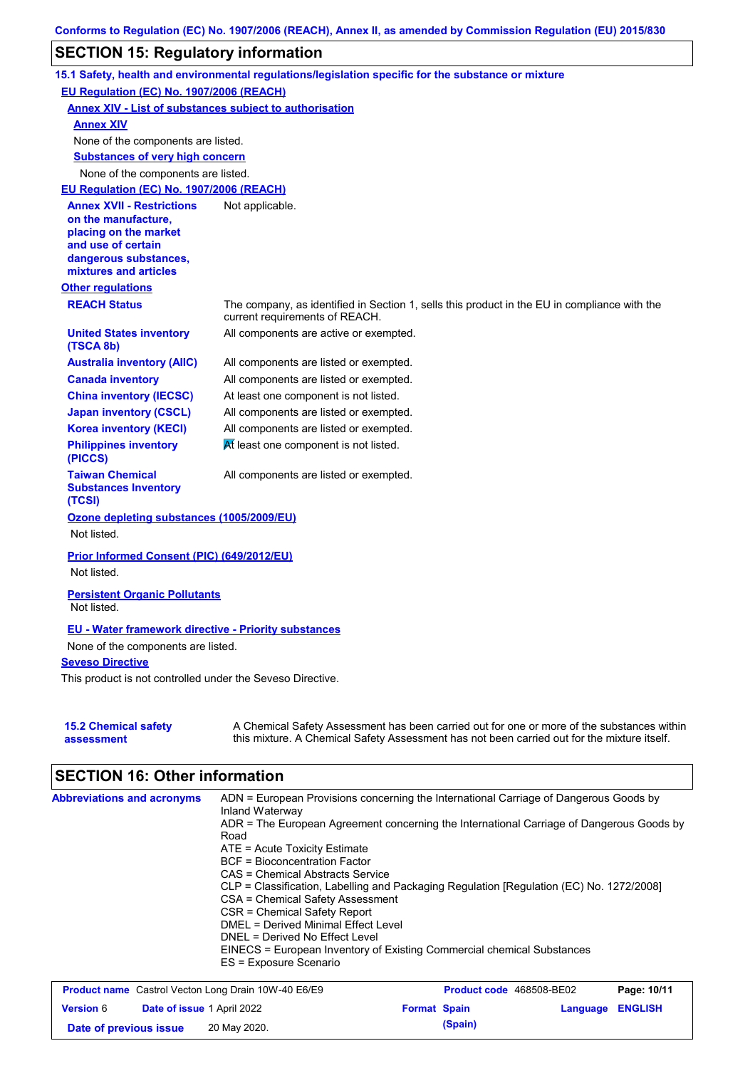# **SECTION 15: Regulatory information**

|                                                                                                                                                          | 15.1 Safety, health and environmental regulations/legislation specific for the substance or mixture                                                                                       |
|----------------------------------------------------------------------------------------------------------------------------------------------------------|-------------------------------------------------------------------------------------------------------------------------------------------------------------------------------------------|
| EU Regulation (EC) No. 1907/2006 (REACH)                                                                                                                 |                                                                                                                                                                                           |
| <b>Annex XIV - List of substances subject to authorisation</b>                                                                                           |                                                                                                                                                                                           |
| <b>Annex XIV</b>                                                                                                                                         |                                                                                                                                                                                           |
| None of the components are listed.                                                                                                                       |                                                                                                                                                                                           |
| <b>Substances of very high concern</b>                                                                                                                   |                                                                                                                                                                                           |
| None of the components are listed.                                                                                                                       |                                                                                                                                                                                           |
| EU Regulation (EC) No. 1907/2006 (REACH)                                                                                                                 |                                                                                                                                                                                           |
| <b>Annex XVII - Restrictions</b><br>on the manufacture,<br>placing on the market<br>and use of certain<br>dangerous substances,<br>mixtures and articles | Not applicable.                                                                                                                                                                           |
| <b>Other regulations</b>                                                                                                                                 |                                                                                                                                                                                           |
| <b>REACH Status</b>                                                                                                                                      | The company, as identified in Section 1, sells this product in the EU in compliance with the<br>current requirements of REACH.                                                            |
| <b>United States inventory</b><br>(TSCA 8b)                                                                                                              | All components are active or exempted.                                                                                                                                                    |
| <b>Australia inventory (AIIC)</b>                                                                                                                        | All components are listed or exempted.                                                                                                                                                    |
| <b>Canada inventory</b>                                                                                                                                  | All components are listed or exempted.                                                                                                                                                    |
| <b>China inventory (IECSC)</b>                                                                                                                           | At least one component is not listed.                                                                                                                                                     |
| <b>Japan inventory (CSCL)</b>                                                                                                                            | All components are listed or exempted.                                                                                                                                                    |
| <b>Korea inventory (KECI)</b>                                                                                                                            | All components are listed or exempted.                                                                                                                                                    |
| <b>Philippines inventory</b><br>(PICCS)                                                                                                                  | At least one component is not listed.                                                                                                                                                     |
| <b>Taiwan Chemical</b><br><b>Substances Inventory</b><br>(TCSI)                                                                                          | All components are listed or exempted.                                                                                                                                                    |
| Ozone depleting substances (1005/2009/EU)<br>Not listed.                                                                                                 |                                                                                                                                                                                           |
| Prior Informed Consent (PIC) (649/2012/EU)<br>Not listed.                                                                                                |                                                                                                                                                                                           |
|                                                                                                                                                          |                                                                                                                                                                                           |
| <b>Persistent Organic Pollutants</b><br>Not listed.                                                                                                      |                                                                                                                                                                                           |
| <b>EU - Water framework directive - Priority substances</b>                                                                                              |                                                                                                                                                                                           |
| None of the components are listed.                                                                                                                       |                                                                                                                                                                                           |
| <b>Seveso Directive</b>                                                                                                                                  |                                                                                                                                                                                           |
| This product is not controlled under the Seveso Directive.                                                                                               |                                                                                                                                                                                           |
|                                                                                                                                                          |                                                                                                                                                                                           |
| <b>15.2 Chemical safety</b><br>assessment                                                                                                                | A Chemical Safety Assessment has been carried out for one or more of the substances within<br>this mixture. A Chemical Safety Assessment has not been carried out for the mixture itself. |

# **SECTION 16: Other information**

| <b>Abbreviations and acronyms</b> | ADN = European Provisions concerning the International Carriage of Dangerous Goods by<br>Inland Waterway |
|-----------------------------------|----------------------------------------------------------------------------------------------------------|
|                                   | ADR = The European Agreement concerning the International Carriage of Dangerous Goods by<br>Road         |
|                                   | $ATE =$ Acute Toxicity Estimate                                                                          |
|                                   | <b>BCF</b> = Bioconcentration Factor                                                                     |
|                                   | CAS = Chemical Abstracts Service                                                                         |
|                                   | CLP = Classification, Labelling and Packaging Regulation [Regulation (EC) No. 1272/2008]                 |
|                                   | CSA = Chemical Safety Assessment                                                                         |
|                                   | CSR = Chemical Safety Report                                                                             |
|                                   | DMEL = Derived Minimal Effect Level                                                                      |
|                                   | DNEL = Derived No Effect Level                                                                           |
|                                   | EINECS = European Inventory of Existing Commercial chemical Substances<br>ES = Exposure Scenario         |

| <b>Product name</b> Castrol Vecton Long Drain 10W-40 E6/E9 |  |                                   | <b>Product code</b> 468508-BE02 | Page: 10/11 |                         |  |
|------------------------------------------------------------|--|-----------------------------------|---------------------------------|-------------|-------------------------|--|
| <b>Version 6</b>                                           |  | <b>Date of issue 1 April 2022</b> | <b>Format Spain</b>             |             | <b>Language ENGLISH</b> |  |
| Date of previous issue                                     |  | 20 May 2020.                      |                                 | (Spain)     |                         |  |